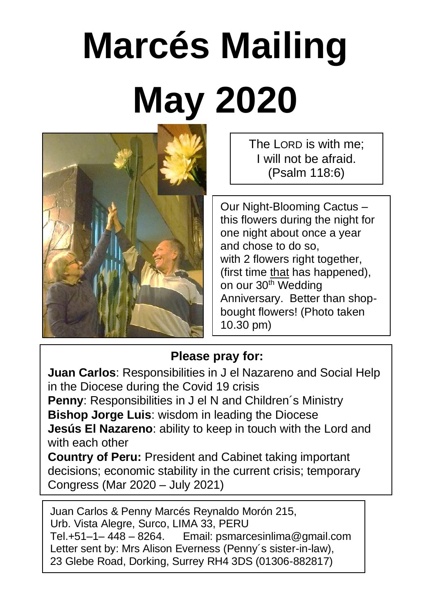# **Marcés Mailing May 2020**



The LORD is with me: I will not be afraid. (Psalm 118:6)

Our Night-Blooming Cactus – this flowers during the night for one night about once a year and chose to do so, with 2 flowers right together. (first time that has happened), on our 30<sup>th</sup> Wedding Anniversary. Better than shopbought flowers! (Photo taken 10.30 pm)

### **Please pray for:**

**Juan Carlos**: Responsibilities in J el Nazareno and Social Help in the Diocese during the Covid 19 crisis **Penny**: Responsibilities in J el N and Children´s Ministry **Bishop Jorge Luis**: wisdom in leading the Diocese **Jesús El Nazareno**: ability to keep in touch with the Lord and with each other **Country of Peru:** President and Cabinet taking important decisions; economic stability in the current crisis; temporary

Congress (Mar 2020 – July 2021)

Juan Carlos & Penny Marcés Reynaldo Morón 215, Urb. Vista Alegre, Surco, LIMA 33, PERU Tel.+51–1– 448 – 8264. Email: psmarcesinlima@gmail.com Letter sent by: Mrs Alison Everness (Penny´s sister-in-law), 23 Glebe Road, Dorking, Surrey RH4 3DS (01306-882817)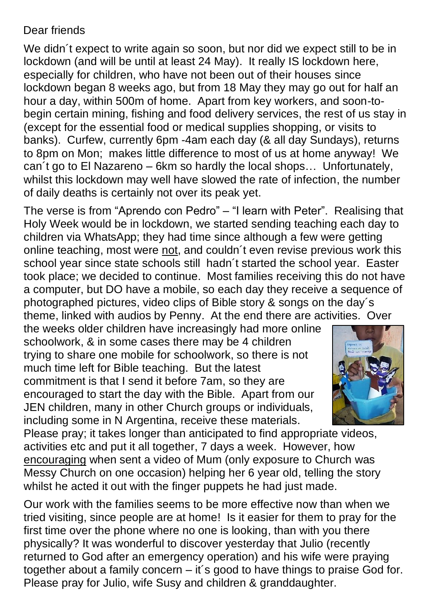#### Dear friends

We didn't expect to write again so soon, but nor did we expect still to be in lockdown (and will be until at least 24 May). It really IS lockdown here, especially for children, who have not been out of their houses since lockdown began 8 weeks ago, but from 18 May they may go out for half an hour a day, within 500m of home. Apart from key workers, and soon-tobegin certain mining, fishing and food delivery services, the rest of us stay in (except for the essential food or medical supplies shopping, or visits to banks). Curfew, currently 6pm -4am each day (& all day Sundays), returns to 8pm on Mon; makes little difference to most of us at home anyway! We can´t go to El Nazareno – 6km so hardly the local shops… Unfortunately, whilst this lockdown may well have slowed the rate of infection, the number of daily deaths is certainly not over its peak yet.

The verse is from "Aprendo con Pedro" – "I learn with Peter". Realising that Holy Week would be in lockdown, we started sending teaching each day to children via WhatsApp; they had time since although a few were getting online teaching, most were not, and couldn´t even revise previous work this school year since state schools still hadn't started the school year. Easter took place; we decided to continue. Most families receiving this do not have a computer, but DO have a mobile, so each day they receive a sequence of photographed pictures, video clips of Bible story & songs on the day´s theme, linked with audios by Penny. At the end there are activities. Over

the weeks older children have increasingly had more online schoolwork, & in some cases there may be 4 children trying to share one mobile for schoolwork, so there is not much time left for Bible teaching. But the latest commitment is that I send it before 7am, so they are encouraged to start the day with the Bible. Apart from our JEN children, many in other Church groups or individuals, including some in N Argentina, receive these materials.



Please pray; it takes longer than anticipated to find appropriate videos, activities etc and put it all together, 7 days a week. However, how encouraging when sent a video of Mum (only exposure to Church was Messy Church on one occasion) helping her 6 year old, telling the story whilst he acted it out with the finger puppets he had just made.

Our work with the families seems to be more effective now than when we tried visiting, since people are at home! Is it easier for them to pray for the first time over the phone where no one is looking, than with you there physically? It was wonderful to discover yesterday that Julio (recently returned to God after an emergency operation) and his wife were praying together about a family concern – it´s good to have things to praise God for. Please pray for Julio, wife Susy and children & granddaughter.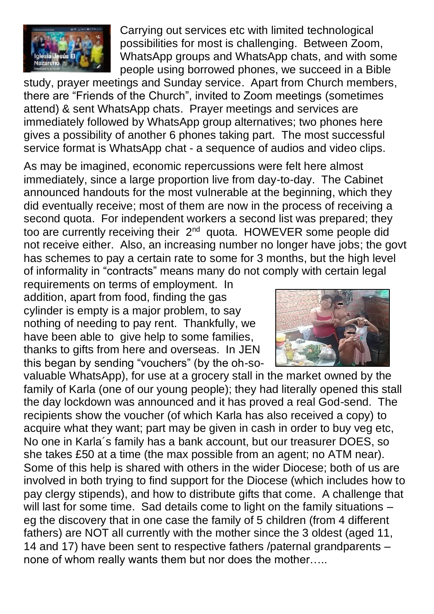

Carrying out services etc with limited technological possibilities for most is challenging. Between Zoom, WhatsApp groups and WhatsApp chats, and with some people using borrowed phones, we succeed in a Bible

study, prayer meetings and Sunday service. Apart from Church members, there are "Friends of the Church", invited to Zoom meetings (sometimes attend) & sent WhatsApp chats. Prayer meetings and services are immediately followed by WhatsApp group alternatives; two phones here gives a possibility of another 6 phones taking part. The most successful service format is WhatsApp chat - a sequence of audios and video clips.

As may be imagined, economic repercussions were felt here almost immediately, since a large proportion live from day-to-day. The Cabinet announced handouts for the most vulnerable at the beginning, which they did eventually receive; most of them are now in the process of receiving a second quota. For independent workers a second list was prepared; they too are currently receiving their 2<sup>nd</sup> quota. HOWEVER some people did not receive either. Also, an increasing number no longer have jobs; the govt has schemes to pay a certain rate to some for 3 months, but the high level of informality in "contracts" means many do not comply with certain legal

requirements on terms of employment. In addition, apart from food, finding the gas cylinder is empty is a major problem, to say nothing of needing to pay rent. Thankfully, we have been able to give help to some families. thanks to gifts from here and overseas. In JEN this began by sending "vouchers" (by the oh-so-



valuable WhatsApp), for use at a grocery stall in the market owned by the family of Karla (one of our young people); they had literally opened this stall the day lockdown was announced and it has proved a real God-send. The recipients show the voucher (of which Karla has also received a copy) to acquire what they want; part may be given in cash in order to buy veg etc, No one in Karla´s family has a bank account, but our treasurer DOES, so she takes £50 at a time (the max possible from an agent; no ATM near). Some of this help is shared with others in the wider Diocese; both of us are involved in both trying to find support for the Diocese (which includes how to pay clergy stipends), and how to distribute gifts that come. A challenge that will last for some time. Sad details come to light on the family situations eg the discovery that in one case the family of 5 children (from 4 different fathers) are NOT all currently with the mother since the 3 oldest (aged 11, 14 and 17) have been sent to respective fathers /paternal grandparents – none of whom really wants them but nor does the mother…..